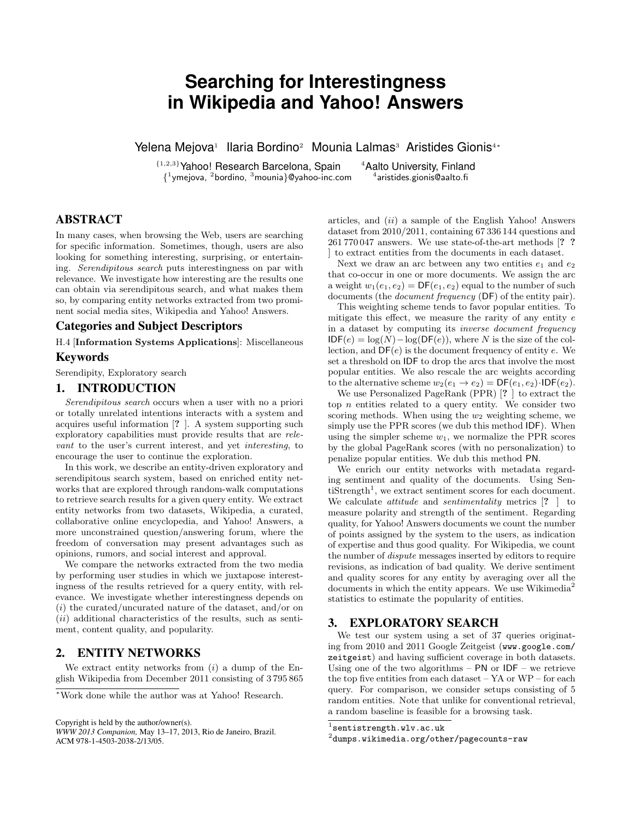# **Searching for Interestingness in Wikipedia and Yahoo! Answers**

Yelena Mejova<sup>1</sup> Ilaria Bordino<sup>2</sup> Mounia Lalmas<sup>3</sup> Aristides Gionis<sup>4</sup>\*

{1,2,3}Yahoo! Research Barcelona, Spain <sup>4</sup>Aalto University, Finland  $\{^{1}$ ymejova,  $^{2}$ bordino,  $^{3}$ mounia}@yahoo-inc.com  $^{4}$ 

 $^4$ aristides.gionis@aalto.fi

## ABSTRACT

In many cases, when browsing the Web, users are searching for specific information. Sometimes, though, users are also looking for something interesting, surprising, or entertaining. Serendipitous search puts interestingness on par with relevance. We investigate how interesting are the results one can obtain via serendipitous search, and what makes them so, by comparing entity networks extracted from two prominent social media sites, Wikipedia and Yahoo! Answers.

#### Categories and Subject Descriptors

H.4 [Information Systems Applications]: Miscellaneous

## Keywords

Serendipity, Exploratory search

#### 1. INTRODUCTION

Serendipitous search occurs when a user with no a priori or totally unrelated intentions interacts with a system and acquires useful information [? ]. A system supporting such exploratory capabilities must provide results that are relevant to the user's current interest, and yet interesting, to encourage the user to continue the exploration.

In this work, we describe an entity-driven exploratory and serendipitous search system, based on enriched entity networks that are explored through random-walk computations to retrieve search results for a given query entity. We extract entity networks from two datasets, Wikipedia, a curated, collaborative online encyclopedia, and Yahoo! Answers, a more unconstrained question/answering forum, where the freedom of conversation may present advantages such as opinions, rumors, and social interest and approval.

We compare the networks extracted from the two media by performing user studies in which we juxtapose interestingness of the results retrieved for a query entity, with relevance. We investigate whether interestingness depends on  $(i)$  the curated/uncurated nature of the dataset, and/or on  $(ii)$  additional characteristics of the results, such as sentiment, content quality, and popularity.

## 2. ENTITY NETWORKS

We extract entity networks from  $(i)$  a dump of the English Wikipedia from December 2011 consisting of 3 795 865

Copyright is held by the author/owner(s).

articles, and  $(ii)$  a sample of the English Yahoo! Answers dataset from 2010/2011, containing 67 336 144 questions and 261 770 047 answers. We use state-of-the-art methods [? ? ] to extract entities from the documents in each dataset.

Next we draw an arc between any two entities  $e_1$  and  $e_2$ that co-occur in one or more documents. We assign the arc a weight  $w_1(e_1, e_2) = DF(e_1, e_2)$  equal to the number of such documents (the document frequency (DF) of the entity pair).

This weighting scheme tends to favor popular entities. To mitigate this effect, we measure the rarity of any entity e in a dataset by computing its inverse document frequency  $IDF(e) = log(N) - log(DF(e)),$  where N is the size of the collection, and  $DF(e)$  is the document frequency of entity  $e$ . We set a threshold on IDF to drop the arcs that involve the most popular entities. We also rescale the arc weights according to the alternative scheme  $w_2(e_1 \rightarrow e_2) = DF(e_1, e_2) \cdot IDF(e_2)$ .

We use Personalized PageRank (PPR) [? ] to extract the top  $n$  entities related to a query entity. We consider two scoring methods. When using the  $w_2$  weighting scheme, we simply use the PPR scores (we dub this method IDF). When using the simpler scheme  $w_1$ , we normalize the PPR scores by the global PageRank scores (with no personalization) to penalize popular entities. We dub this method PN.

We enrich our entity networks with metadata regarding sentiment and quality of the documents. Using Sen $t$  iStrength<sup>1</sup>, we extract sentiment scores for each document. We calculate *attitude* and *sentimentality* metrics  $[? \]$  to measure polarity and strength of the sentiment. Regarding quality, for Yahoo! Answers documents we count the number of points assigned by the system to the users, as indication of expertise and thus good quality. For Wikipedia, we count the number of dispute messages inserted by editors to require revisions, as indication of bad quality. We derive sentiment and quality scores for any entity by averaging over all the documents in which the entity appears. We use Wikimedia<sup>2</sup> statistics to estimate the popularity of entities.

## 3. EXPLORATORY SEARCH

We test our system using a set of 37 queries originating from 2010 and 2011 Google Zeitgeist (www.google.com/ zeitgeist) and having sufficient coverage in both datasets. Using one of the two algorithms –  $PN$  or  $IDF$  – we retrieve the top five entities from each dataset – YA or WP – for each query. For comparison, we consider setups consisting of 5 random entities. Note that unlike for conventional retrieval, a random baseline is feasible for a browsing task.

<sup>∗</sup>Work done while the author was at Yahoo! Research.

*WWW 2013 Companion,* May 13–17, 2013, Rio de Janeiro, Brazil. ACM 978-1-4503-2038-2/13/05.

 $^{\rm l}$  sentistrength.wlv.ac.uk

 $^{2}$ dumps.wikimedia.org/other/pagecounts-raw